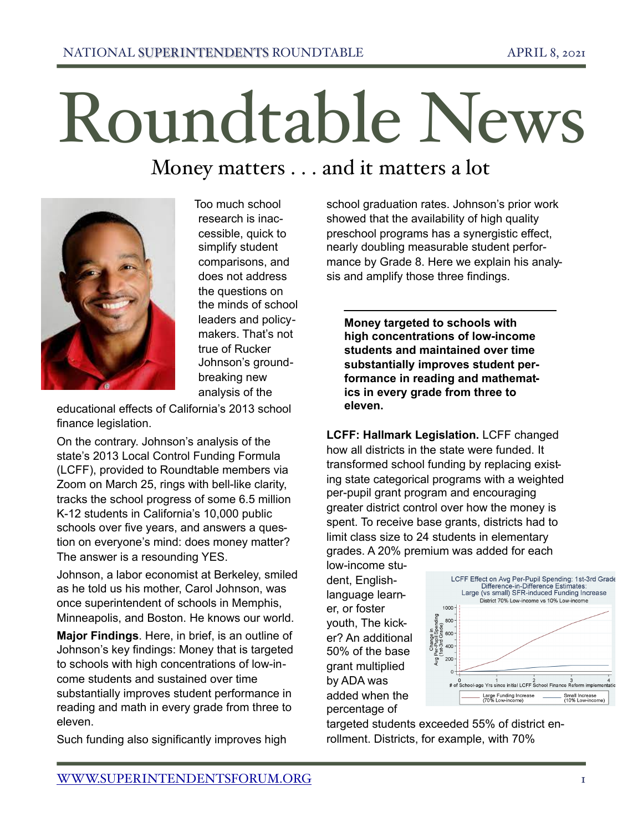## Roundtable News

## Money matters . . . and it matters a lot



 Too much school research is inaccessible, quick to simplify student comparisons, and does not address the questions on the minds of school leaders and policymakers. That's not true of Rucker Johnson's groundbreaking new analysis of the

educational effects of California's 2013 school finance legislation.

On the contrary. Johnson's analysis of the state's 2013 Local Control Funding Formula (LCFF), provided to Roundtable members via Zoom on March 25, rings with bell-like clarity, tracks the school progress of some 6.5 million K-12 students in California's 10,000 public schools over five years, and answers a question on everyone's mind: does money matter? The answer is a resounding YES.

Johnson, a labor economist at Berkeley, smiled as he told us his mother, Carol Johnson, was once superintendent of schools in Memphis, Minneapolis, and Boston. He knows our world.

**Major Findings**. Here, in brief, is an outline of Johnson's key findings: Money that is targeted to schools with high concentrations of low-income students and sustained over time substantially improves student performance in reading and math in every grade from three to eleven.

Such funding also significantly improves high

school graduation rates. Johnson's prior work showed that the availability of high quality preschool programs has a synergistic effect, nearly doubling measurable student performance by Grade 8. Here we explain his analysis and amplify those three findings.

**Money targeted to schools with high concentrations of low-income students and maintained over time substantially improves student performance in reading and mathematics in every grade from three to eleven.**

**LCFF: Hallmark Legislation.** LCFF changed how all districts in the state were funded. It transformed school funding by replacing existing state categorical programs with a weighted per-pupil grant program and encouraging greater district control over how the money is spent. To receive base grants, districts had to limit class size to 24 students in elementary grades. A 20% premium was added for each

low-income student, Englishlanguage learner, or foster youth, The kicker? An additional 50% of the base grant multiplied by ADA was added when the percentage of



targeted students exceeded 55% of district enrollment. Districts, for example, with 70%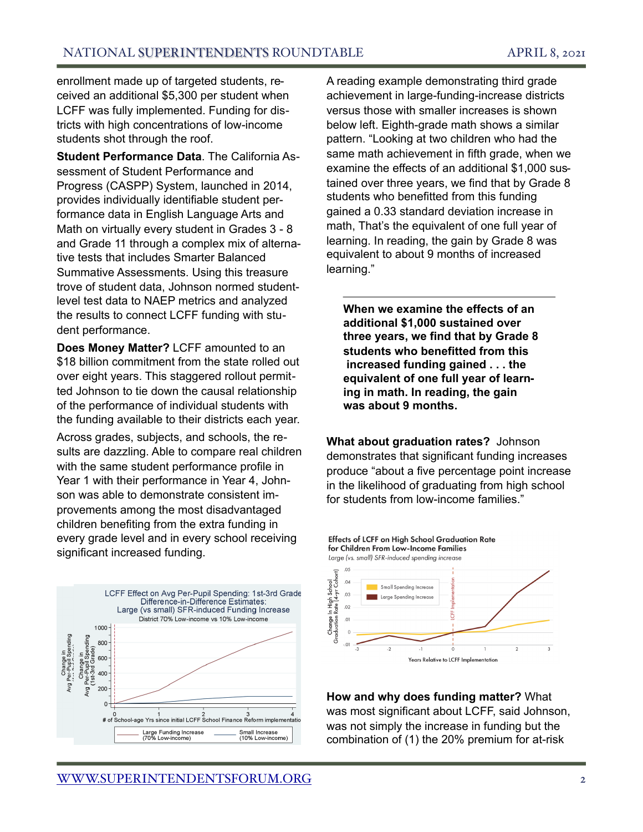enrollment made up of targeted students, received an additional \$5,300 per student when LCFF was fully implemented. Funding for districts with high concentrations of low-income students shot through the roof.

**Student Performance Data**. The California Assessment of Student Performance and Progress (CASPP) System, launched in 2014, provides individually identifiable student performance data in English Language Arts and Math on virtually every student in Grades 3 - 8 and Grade 11 through a complex mix of alternative tests that includes Smarter Balanced Summative Assessments. Using this treasure trove of student data, Johnson normed studentlevel test data to NAEP metrics and analyzed the results to connect LCFF funding with student performance.

**Does Money Matter?** LCFF amounted to an \$18 billion commitment from the state rolled out over eight years. This staggered rollout permitted Johnson to tie down the causal relationship of the performance of individual students with the funding available to their districts each year.

Across grades, subjects, and schools, the results are dazzling. Able to compare real children with the same student performance profile in Year 1 with their performance in Year 4, Johnson was able to demonstrate consistent improvements among the most disadvantaged children benefiting from the extra funding in every grade level and in every school receiving significant increased funding.



A reading example demonstrating third grade achievement in large-funding-increase districts versus those with smaller increases is shown below left. Eighth-grade math shows a similar pattern. "Looking at two children who had the same math achievement in fifth grade, when we examine the effects of an additional \$1,000 sustained over three years, we find that by Grade 8 students who benefitted from this funding gained a 0.33 standard deviation increase in math, That's the equivalent of one full year of learning. In reading, the gain by Grade 8 was equivalent to about 9 months of increased learning."

**When we examine the effects of an additional \$1,000 sustained over three years, we find that by Grade 8 students who benefitted from this increased funding gained . . . the equivalent of one full year of learning in math. In reading, the gain was about 9 months.**

**What about graduation rates?** Johnson demonstrates that significant funding increases produce "about a five percentage point increase in the likelihood of graduating from high school for students from low-income families."



**How and why does funding matter?** What was most significant about LCFF, said Johnson, was not simply the increase in funding but the combination of (1) the 20% premium for at-risk